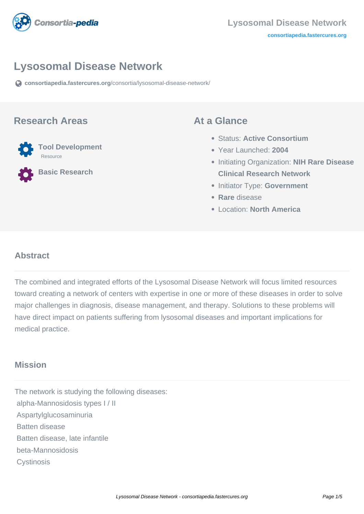

# **Lysosomal Disease Network**

**[consortiapedia.fastercures.org](https://consortiapedia.fastercures.org/consortia/lysosomal-disease-network/)**[/consortia/lysosomal-disease-network/](https://consortiapedia.fastercures.org/consortia/lysosomal-disease-network/)

#### **Research Areas**



**Basic Research**

#### **At a Glance**

- Status: **Active Consortium**
- Year Launched: **2004**
- Initiating Organization: **NIH Rare Disease Clinical Research Network**
- **Initiator Type: Government**
- **Rare** disease
- Location: **North America**

## **Abstract**

The combined and integrated efforts of the Lysosomal Disease Network will focus limited resources toward creating a network of centers with expertise in one or more of these diseases in order to solve major challenges in diagnosis, disease management, and therapy. Solutions to these problems will have direct impact on patients suffering from lysosomal diseases and important implications for medical practice.

### **Mission**

The network is studying the following diseases: alpha-Mannosidosis types I / II Aspartylglucosaminuria Batten disease Batten disease, late infantile beta-Mannosidosis **Cystinosis**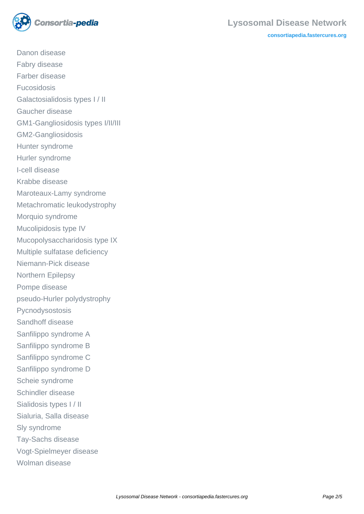

**[consortiapedia.fastercures.org](http://consortiapedia.fastercures.org/)**

 Danon disease Fabry disease Farber disease Fucosidosis Galactosialidosis types I / II Gaucher disease GM1-Gangliosidosis types I/II/III GM2-Gangliosidosis Hunter syndrome Hurler syndrome I-cell disease Krabbe disease Maroteaux-Lamy syndrome Metachromatic leukodystrophy Morquio syndrome Mucolipidosis type IV Mucopolysaccharidosis type IX Multiple sulfatase deficiency Niemann-Pick disease Northern Epilepsy Pompe disease pseudo-Hurler polydystrophy Pycnodysostosis Sandhoff disease Sanfilippo syndrome A Sanfilippo syndrome B Sanfilippo syndrome C Sanfilippo syndrome D Scheie syndrome Schindler disease Sialidosis types I / II Sialuria, Salla disease Sly syndrome Tay-Sachs disease Vogt-Spielmeyer disease Wolman disease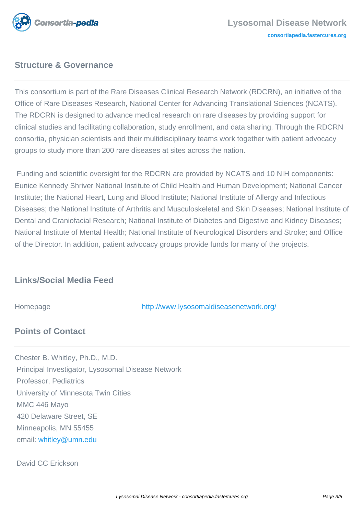

# **Structure & Governance**

This consortium is part of the Rare Diseases Clinical Research Network (RDCRN), an initiative of the Office of Rare Diseases Research, National Center for Advancing Translational Sciences (NCATS). The RDCRN is designed to advance medical research on rare diseases by providing support for clinical studies and facilitating collaboration, study enrollment, and data sharing. Through the RDCRN consortia, physician scientists and their multidisciplinary teams work together with patient advocacy groups to study more than 200 rare diseases at sites across the nation.

 Funding and scientific oversight for the RDCRN are provided by NCATS and 10 NIH components: Eunice Kennedy Shriver National Institute of Child Health and Human Development; National Cancer Institute; the National Heart, Lung and Blood Institute; National Institute of Allergy and Infectious Diseases; the National Institute of Arthritis and Musculoskeletal and Skin Diseases; National Institute of Dental and Craniofacial Research; National Institute of Diabetes and Digestive and Kidney Diseases; National Institute of Mental Health; National Institute of Neurological Disorders and Stroke; and Office of the Director. In addition, patient advocacy groups provide funds for many of the projects.

## **Links/Social Media Feed**

Homepage <http://www.lysosomaldiseasenetwork.org/>

## **Points of Contact**

Chester B. Whitley, Ph.D., M.D. Principal Investigator, Lysosomal Disease Network Professor, Pediatrics University of Minnesota Twin Cities MMC 446 Mayo 420 Delaware Street, SE Minneapolis, MN 55455 email: [whitley@umn.edu](mailto:whitley@umn.edu)

David CC Erickson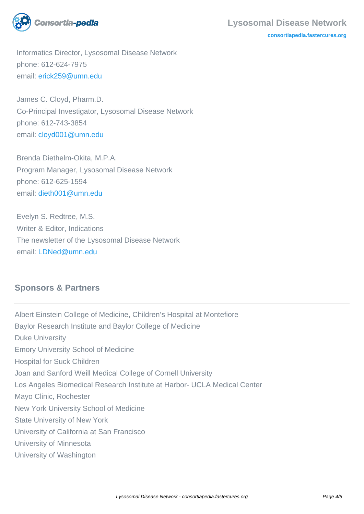

#### **Lysosomal Disease Network**

**[consortiapedia.fastercures.org](http://consortiapedia.fastercures.org/)**

 Informatics Director, Lysosomal Disease Network phone: 612-624-7975 email: [erick259@umn.edu](mailto:erick259@umn.edu)

 James C. Cloyd, Pharm.D. Co-Principal Investigator, Lysosomal Disease Network phone: 612-743-3854 email: [cloyd001@umn.edu](mailto:cloyd001@umn.edu)

 Brenda Diethelm-Okita, M.P.A. Program Manager, Lysosomal Disease Network phone: 612-625-1594 email: [dieth001@umn.edu](mailto:dieth001@umn.edu)

 Evelyn S. Redtree, M.S. Writer & Editor, Indications The newsletter of the Lysosomal Disease Network email: [LDNed@umn.edu](mailto:LDNed@umn.edu)

## **Sponsors & Partners**

Albert Einstein College of Medicine, Children's Hospital at Montefiore Baylor Research Institute and Baylor College of Medicine Duke University Emory University School of Medicine Hospital for Suck Children Joan and Sanford Weill Medical College of Cornell University Los Angeles Biomedical Research Institute at Harbor- UCLA Medical Center Mayo Clinic, Rochester New York University School of Medicine State University of New York University of California at San Francisco University of Minnesota University of Washington